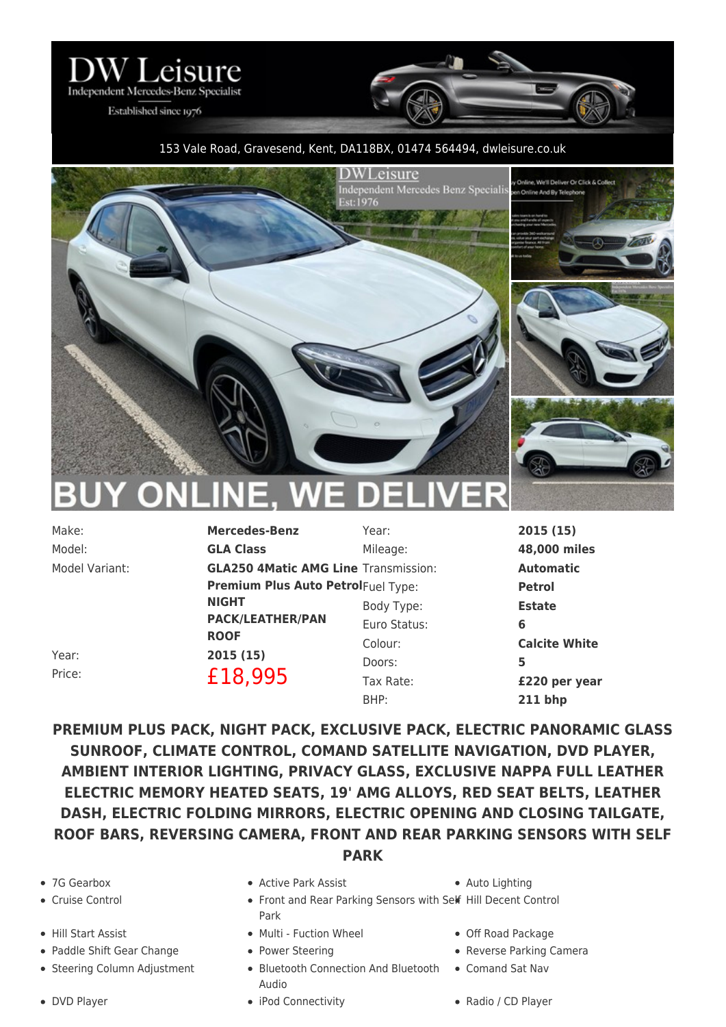

Established since 1976

## 153 Vale Road, Gravesend, Kent, DA118BX, 01474 564494, [dwleisure.co.uk](https://www.dwleisure.co.uk)



| Make:          | <b>Mercedes-Benz</b>                        | Year:        | 2015(15)             |
|----------------|---------------------------------------------|--------------|----------------------|
| Model:         | <b>GLA Class</b>                            | Mileage:     | 48,000 miles         |
| Model Variant: | <b>GLA250 4Matic AMG Line Transmission:</b> |              | <b>Automatic</b>     |
|                | <b>Premium Plus Auto PetrolFuel Type:</b>   |              | <b>Petrol</b>        |
|                | <b>NIGHT</b>                                | Body Type:   | <b>Estate</b>        |
|                | <b>PACK/LEATHER/PAN</b><br><b>ROOF</b>      | Euro Status: | 6                    |
|                |                                             | Colour:      | <b>Calcite White</b> |
| Year:          | 2015(15)                                    | Doors:       | 5                    |
| Price:         | £18,995                                     | Tax Rate:    | £220 per year        |
|                |                                             |              |                      |

**PREMIUM PLUS PACK, NIGHT PACK, EXCLUSIVE PACK, ELECTRIC PANORAMIC GLASS SUNROOF, CLIMATE CONTROL, COMAND SATELLITE NAVIGATION, DVD PLAYER, AMBIENT INTERIOR LIGHTING, PRIVACY GLASS, EXCLUSIVE NAPPA FULL LEATHER ELECTRIC MEMORY HEATED SEATS, 19' AMG ALLOYS, RED SEAT BELTS, LEATHER DASH, ELECTRIC FOLDING MIRRORS, ELECTRIC OPENING AND CLOSING TAILGATE, ROOF BARS, REVERSING CAMERA, FRONT AND REAR PARKING SENSORS WITH SELF PARK**

- 
- 
- 
- Paddle Shift Gear Change Power Steering Power Steering Reverse Parking Camera
- 
- 
- 7G Gearbox Active Park Assist Auto Lighting
	- Cruise Control **Front and Rear Parking Sensors with Self Hill Decent Control** Park
- Hill Start Assist **Multi Fuction Wheel** Off Road Package
	-
	- Steering Column Adjustment Bluetooth Connection And Bluetooth Comand Sat Nav Audio
		-

BHP: **211 bhp**

- 
- 
- 
- DVD Player iPod Connectivity Radio / CD Player